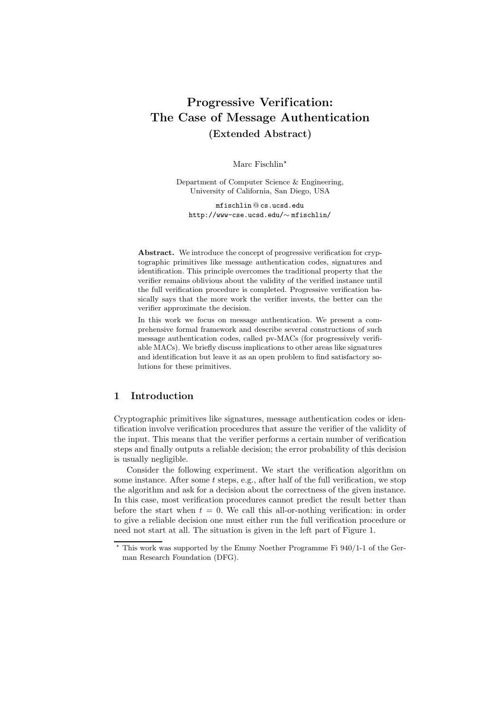# Progressive Verification: The Case of Message Authentication (Extended Abstract)

Marc Fischlin?

Department of Computer Science & Engineering, University of California, San Diego, USA

mfischlin @ cs.ucsd.edu http://www-cse.ucsd.edu/∼ mfischlin/

Abstract. We introduce the concept of progressive verification for cryptographic primitives like message authentication codes, signatures and identification. This principle overcomes the traditional property that the verifier remains oblivious about the validity of the verified instance until the full verification procedure is completed. Progressive verification basically says that the more work the verifier invests, the better can the verifier approximate the decision.

In this work we focus on message authentication. We present a comprehensive formal framework and describe several constructions of such message authentication codes, called pv-MACs (for progressively verifiable MACs). We briefly discuss implications to other areas like signatures and identification but leave it as an open problem to find satisfactory solutions for these primitives.

# 1 Introduction

Cryptographic primitives like signatures, message authentication codes or identification involve verification procedures that assure the verifier of the validity of the input. This means that the verifier performs a certain number of verification steps and finally outputs a reliable decision; the error probability of this decision is usually negligible.

Consider the following experiment. We start the verification algorithm on some instance. After some  $t$  steps, e.g., after half of the full verification, we stop the algorithm and ask for a decision about the correctness of the given instance. In this case, most verification procedures cannot predict the result better than before the start when  $t = 0$ . We call this all-or-nothing verification: in order to give a reliable decision one must either run the full verification procedure or need not start at all. The situation is given in the left part of Figure 1.

<sup>?</sup> This work was supported by the Emmy Noether Programme Fi 940/1-1 of the German Research Foundation (DFG).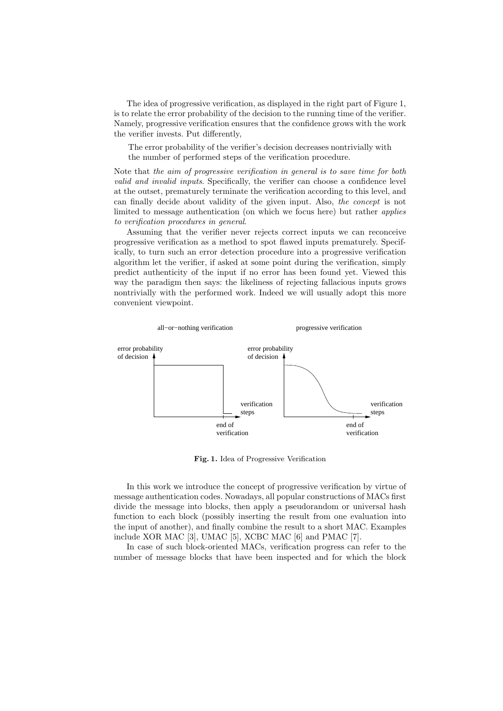The idea of progressive verification, as displayed in the right part of Figure 1, is to relate the error probability of the decision to the running time of the verifier. Namely, progressive verification ensures that the confidence grows with the work the verifier invests. Put differently,

The error probability of the verifier's decision decreases nontrivially with the number of performed steps of the verification procedure.

Note that the aim of progressive verification in general is to save time for both valid and invalid inputs. Specifically, the verifier can choose a confidence level at the outset, prematurely terminate the verification according to this level, and can finally decide about validity of the given input. Also, the concept is not limited to message authentication (on which we focus here) but rather applies to verification procedures in general.

Assuming that the verifier never rejects correct inputs we can reconceive progressive verification as a method to spot flawed inputs prematurely. Specifically, to turn such an error detection procedure into a progressive verification algorithm let the verifier, if asked at some point during the verification, simply predict authenticity of the input if no error has been found yet. Viewed this way the paradigm then says: the likeliness of rejecting fallacious inputs grows nontrivially with the performed work. Indeed we will usually adopt this more convenient viewpoint.



Fig. 1. Idea of Progressive Verification

In this work we introduce the concept of progressive verification by virtue of message authentication codes. Nowadays, all popular constructions of MACs first divide the message into blocks, then apply a pseudorandom or universal hash function to each block (possibly inserting the result from one evaluation into the input of another), and finally combine the result to a short MAC. Examples include XOR MAC [3], UMAC [5], XCBC MAC [6] and PMAC [7].

In case of such block-oriented MACs, verification progress can refer to the number of message blocks that have been inspected and for which the block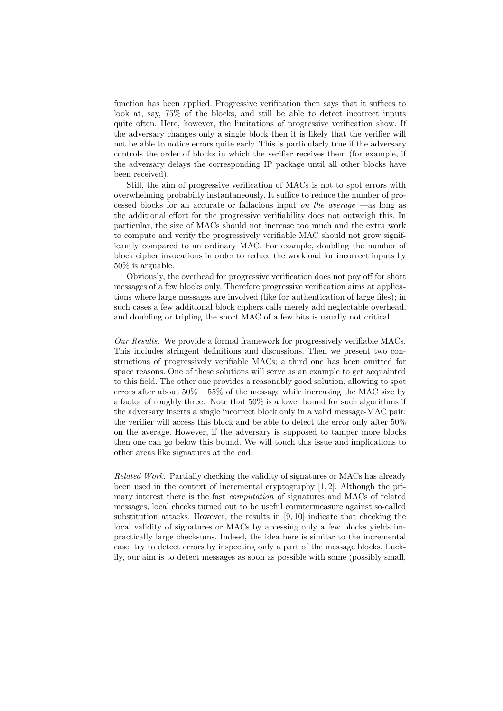function has been applied. Progressive verification then says that it suffices to look at, say, 75% of the blocks, and still be able to detect incorrect inputs quite often. Here, however, the limitations of progressive verification show. If the adversary changes only a single block then it is likely that the verifier will not be able to notice errors quite early. This is particularly true if the adversary controls the order of blocks in which the verifier receives them (for example, if the adversary delays the corresponding IP package until all other blocks have been received).

Still, the aim of progressive verification of MACs is not to spot errors with overwhelming probabilty instantaneously. It suffice to reduce the number of processed blocks for an accurate or fallacious input on the average —as long as the additional effort for the progressive verifiability does not outweigh this. In particular, the size of MACs should not increase too much and the extra work to compute and verify the progressively verifiable MAC should not grow significantly compared to an ordinary MAC. For example, doubling the number of block cipher invocations in order to reduce the workload for incorrect inputs by 50% is arguable.

Obviously, the overhead for progressive verification does not pay off for short messages of a few blocks only. Therefore progressive verification aims at applications where large messages are involved (like for authentication of large files); in such cases a few additional block ciphers calls merely add neglectable overhead, and doubling or tripling the short MAC of a few bits is usually not critical.

Our Results. We provide a formal framework for progressively verifiable MACs. This includes stringent definitions and discussions. Then we present two constructions of progressively verifiable MACs; a third one has been omitted for space reasons. One of these solutions will serve as an example to get acquainted to this field. The other one provides a reasonably good solution, allowing to spot errors after about 50% − 55% of the message while increasing the MAC size by a factor of roughly three. Note that 50% is a lower bound for such algorithms if the adversary inserts a single incorrect block only in a valid message-MAC pair: the verifier will access this block and be able to detect the error only after 50% on the average. However, if the adversary is supposed to tamper more blocks then one can go below this bound. We will touch this issue and implications to other areas like signatures at the end.

Related Work. Partially checking the validity of signatures or MACs has already been used in the context of incremental cryptography [1, 2]. Although the primary interest there is the fast computation of signatures and MACs of related messages, local checks turned out to be useful countermeasure against so-called substitution attacks. However, the results in [9, 10] indicate that checking the local validity of signatures or MACs by accessing only a few blocks yields impractically large checksums. Indeed, the idea here is similar to the incremental case: try to detect errors by inspecting only a part of the message blocks. Luckily, our aim is to detect messages as soon as possible with some (possibly small,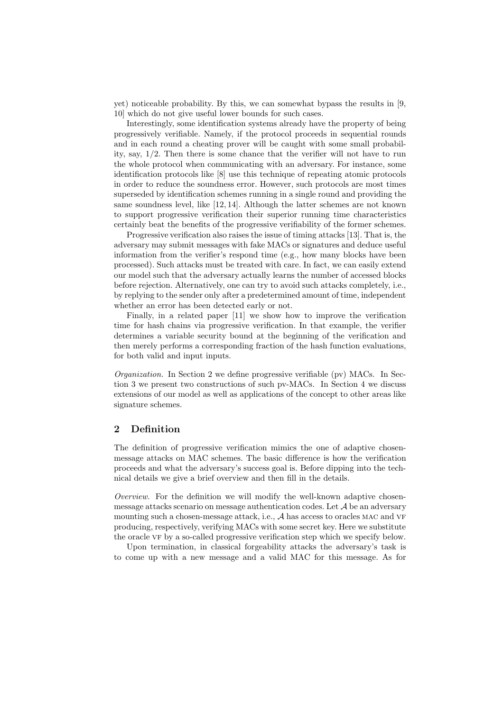yet) noticeable probability. By this, we can somewhat bypass the results in [9, 10] which do not give useful lower bounds for such cases.

Interestingly, some identification systems already have the property of being progressively verifiable. Namely, if the protocol proceeds in sequential rounds and in each round a cheating prover will be caught with some small probability, say, 1/2. Then there is some chance that the verifier will not have to run the whole protocol when communicating with an adversary. For instance, some identification protocols like [8] use this technique of repeating atomic protocols in order to reduce the soundness error. However, such protocols are most times superseded by identification schemes running in a single round and providing the same soundness level, like [12, 14]. Although the latter schemes are not known to support progressive verification their superior running time characteristics certainly beat the benefits of the progressive verifiability of the former schemes.

Progressive verification also raises the issue of timing attacks [13]. That is, the adversary may submit messages with fake MACs or signatures and deduce useful information from the verifier's respond time (e.g., how many blocks have been processed). Such attacks must be treated with care. In fact, we can easily extend our model such that the adversary actually learns the number of accessed blocks before rejection. Alternatively, one can try to avoid such attacks completely, i.e., by replying to the sender only after a predetermined amount of time, independent whether an error has been detected early or not.

Finally, in a related paper [11] we show how to improve the verification time for hash chains via progressive verification. In that example, the verifier determines a variable security bound at the beginning of the verification and then merely performs a corresponding fraction of the hash function evaluations, for both valid and input inputs.

Organization. In Section 2 we define progressive verifiable (pv) MACs. In Section 3 we present two constructions of such pv-MACs. In Section 4 we discuss extensions of our model as well as applications of the concept to other areas like signature schemes.

## 2 Definition

The definition of progressive verification mimics the one of adaptive chosenmessage attacks on MAC schemes. The basic difference is how the verification proceeds and what the adversary's success goal is. Before dipping into the technical details we give a brief overview and then fill in the details.

Overview. For the definition we will modify the well-known adaptive chosenmessage attacks scenario on message authentication codes. Let A be an adversary mounting such a chosen-message attack, i.e.,  $A$  has access to oracles MAC and VF producing, respectively, verifying MACs with some secret key. Here we substitute the oracle vf by a so-called progressive verification step which we specify below.

Upon termination, in classical forgeability attacks the adversary's task is to come up with a new message and a valid MAC for this message. As for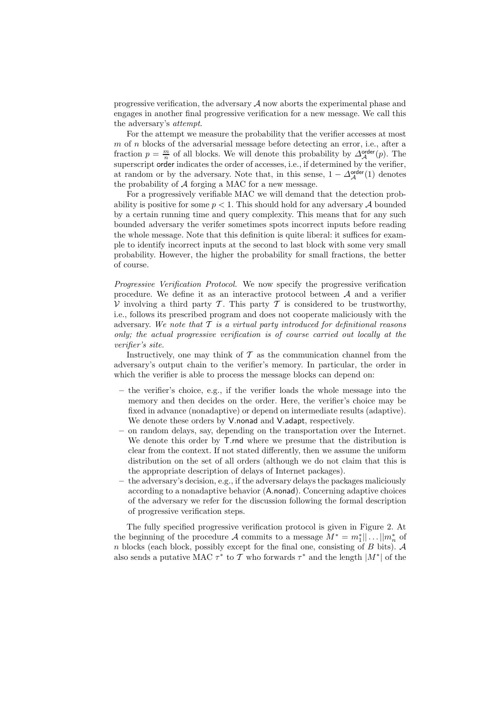progressive verification, the adversary  $A$  now aborts the experimental phase and engages in another final progressive verification for a new message. We call this the adversary's attempt.

For the attempt we measure the probability that the verifier accesses at most m of n blocks of the adversarial message before detecting an error, i.e., after a fraction  $p = \frac{m}{n}$  of all blocks. We will denote this probability by  $\Delta_{\mathcal{A}}^{\text{order}}(p)$ . The superscript order indicates the order of accesses, i.e., if determined by the verifier, at random or by the adversary. Note that, in this sense,  $1 - \Delta_{\mathcal{A}}^{\text{order}}(1)$  denotes the probability of  $A$  forging a MAC for a new message.

For a progressively verifiable MAC we will demand that the detection probability is positive for some  $p < 1$ . This should hold for any adversary A bounded by a certain running time and query complexity. This means that for any such bounded adversary the verifer sometimes spots incorrect inputs before reading the whole message. Note that this definition is quite liberal: it suffices for example to identify incorrect inputs at the second to last block with some very small probability. However, the higher the probability for small fractions, the better of course.

Progressive Verification Protocol. We now specify the progressive verification procedure. We define it as an interactive protocol between  $A$  and a verifier V involving a third party  $\mathcal T$ . This party  $\mathcal T$  is considered to be trustworthy, i.e., follows its prescribed program and does not cooperate maliciously with the adversary. We note that  $T$  is a virtual party introduced for definitional reasons only; the actual progressive verification is of course carried out locally at the verifier's site.

Instructively, one may think of  $\mathcal T$  as the communication channel from the adversary's output chain to the verifier's memory. In particular, the order in which the verifier is able to process the message blocks can depend on:

- the verifier's choice, e.g., if the verifier loads the whole message into the memory and then decides on the order. Here, the verifier's choice may be fixed in advance (nonadaptive) or depend on intermediate results (adaptive). We denote these orders by V.nonad and V.adapt, respectively.
- on random delays, say, depending on the transportation over the Internet. We denote this order by T.rnd where we presume that the distribution is clear from the context. If not stated differently, then we assume the uniform distribution on the set of all orders (although we do not claim that this is the appropriate description of delays of Internet packages).
- the adversary's decision, e.g., if the adversary delays the packages maliciously according to a nonadaptive behavior (A.nonad). Concerning adaptive choices of the adversary we refer for the discussion following the formal description of progressive verification steps.

The fully specified progressive verification protocol is given in Figure 2. At the beginning of the procedure A commits to a message  $M^* = m_1^* || \dots || m_n^*$  of n blocks (each block, possibly except for the final one, consisting of B bits).  $\mathcal A$ also sends a putative MAC  $\tau^*$  to  $\mathcal T$  who forwards  $\tau^*$  and the length  $|M^*|$  of the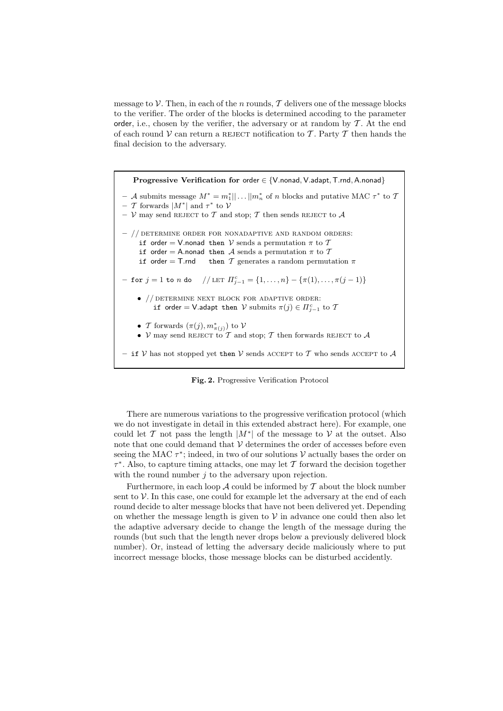message to  $V$ . Then, in each of the *n* rounds,  $\mathcal T$  delivers one of the message blocks to the verifier. The order of the blocks is determined accoding to the parameter order, i.e., chosen by the verifier, the adversary or at random by  $T$ . At the end of each round  $V$  can return a REJECT notification to T. Party T then hands the final decision to the adversary.

Progressive Verification for order ∈ {V.nonad, V.adapt, T.rnd, A.nonad}  $-$  *A* submits message  $M^* = m_1^*$ ||...|| $m_n^*$  of *n* blocks and putative MAC  $\tau^*$  to T  $-$  T forwards  $|M^*|$  and  $\tau^*$  to  $\mathcal V$ – V may send REJECT to T and stop; T then sends REJECT to A  $//$  determine order for nonadaptive and random orders: if order = V.nonad then  ${\mathcal V}$  sends a permutation  $\pi$  to  ${\mathcal T}$ if order = A.nonad then A sends a permutation  $\pi$  to T if order = T.rnd then T generates a random permutation  $\pi$  $-$  for  $j = 1$  to *n* do  $\qquad$  // LET  $\Pi_{j-1}^c = \{1, ..., n\} - \{\pi(1), ..., \pi(j-1)\}$ • // determine next block for adaptive order: if order = V.adapt then  $\mathcal V$  submits  $\pi(j) \in \Pi_{j-1}^c$  to  $\mathcal T$ • *T* forwards  $(\pi(j), m^*_{\pi(j)})$  to  $\mathcal V$  $\mathcal V$  may send REJECT to  $\mathcal T$  and stop;  $\mathcal T$  then forwards REJECT to  $\mathcal A$ – if V has not stopped yet then V sends ACCEPT to T who sends ACCEPT to A

Fig. 2. Progressive Verification Protocol

There are numerous variations to the progressive verification protocol (which we do not investigate in detail in this extended abstract here). For example, one could let T not pass the length  $|M^*|$  of the message to V at the outset. Also note that one could demand that  $V$  determines the order of accesses before even seeing the MAC  $\tau^*$ ; indeed, in two of our solutions  $\mathcal V$  actually bases the order on  $\tau^*$ . Also, to capture timing attacks, one may let T forward the decision together with the round number  $j$  to the adversary upon rejection.

Furthermore, in each loop  $A$  could be informed by  $T$  about the block number sent to  $\mathcal V$ . In this case, one could for example let the adversary at the end of each round decide to alter message blocks that have not been delivered yet. Depending on whether the message length is given to  $V$  in advance one could then also let the adaptive adversary decide to change the length of the message during the rounds (but such that the length never drops below a previously delivered block number). Or, instead of letting the adversary decide maliciously where to put incorrect message blocks, those message blocks can be disturbed accidently.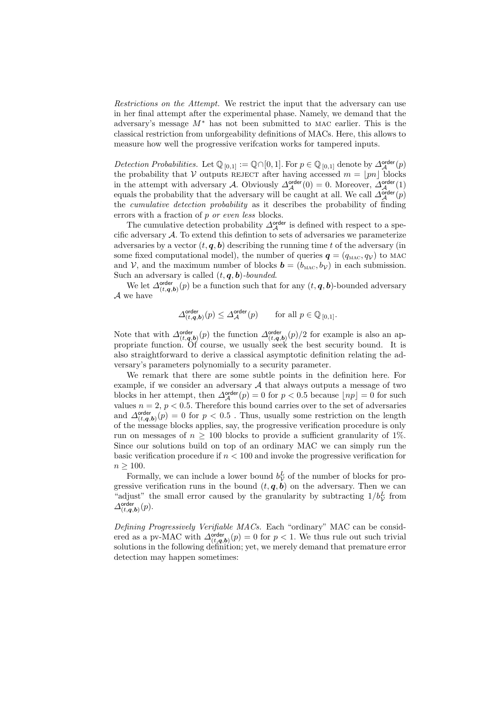Restrictions on the Attempt. We restrict the input that the adversary can use in her final attempt after the experimental phase. Namely, we demand that the adversary's message M<sup>∗</sup> has not been submitted to mac earlier. This is the classical restriction from unforgeability definitions of MACs. Here, this allows to measure how well the progressive verifcation works for tampered inputs.

Detection Probabilities. Let  $\mathbb{Q}_{[0,1]} := \mathbb{Q} \cap [0,1]$ . For  $p \in \mathbb{Q}_{[0,1]}$  denote by  $\Delta_{\mathcal{A}}^{\text{order}}(p)$ the probability that V outputs REJECT after having accessed  $m = |pn|$  blocks in the attempt with adversary A. Obviously  $\Delta_{\mathcal{A}}^{\text{order}}(0) = 0$ . Moreover,  $\Delta_{\mathcal{A}}^{\text{order}}(1)$ equals the probability that the adversary will be caught at all. We call  $\Delta_{\mathcal{A}}^{\text{order}}(p)$ the cumulative detection probability as it describes the probability of finding errors with a fraction of p or even less blocks.

The cumulative detection probability  $\Delta_{\mathcal{A}}^{\text{order}}$  is defined with respect to a specific adversary  $A$ . To extend this defintion to sets of adversaries we parameterize adversaries by a vector  $(t, q, b)$  describing the running time t of the adversary (in some fixed computational model), the number of queries  $q = (q_{\text{MAC}}, q_{\mathcal{V}})$  to MAC and V, and the maximum number of blocks  $\mathbf{b} = (b_{\text{MAC}}, b_{\text{V}})$  in each submission. Such an adversary is called  $(t, q, b)$ -bounded.

We let  $\Delta_{(t,q,b)}^{\text{order}}(p)$  be a function such that for any  $(t, q, b)$ -bounded adversary  $\mathcal A$  we have

$$
\Delta_{(t,\mathbf{q},\mathbf{b})}^{\text{order}}(p) \le \Delta_{\mathcal{A}}^{\text{order}}(p) \quad \text{for all } p \in \mathbb{Q}_{[0,1]}.
$$

Note that with  $\Delta_{(t,q,b)}^{\text{order}}(p)$  the function  $\Delta_{(t,q,b)}^{\text{order}}(p)/2$  for example is also an appropriate function. Of course, we usually seek the best security bound. It is also straightforward to derive a classical asymptotic definition relating the adversary's parameters polynomially to a security parameter.

We remark that there are some subtle points in the definition here. For example, if we consider an adversary  $A$  that always outputs a message of two blocks in her attempt, then  $\Delta_{\mathcal{A}}^{\text{order}}(p) = 0$  for  $p < 0.5$  because  $\lfloor np \rfloor = 0$  for such values  $n = 2$ ,  $p < 0.5$ . Therefore this bound carries over to the set of adversaries and  $\Delta_{(t,q,b)}^{\text{order}}(p) = 0$  for  $p < 0.5$ . Thus, usually some restriction on the length of the message blocks applies, say, the progressive verification procedure is only run on messages of  $n > 100$  blocks to provide a sufficient granularity of 1%. Since our solutions build on top of an ordinary MAC we can simply run the basic verification procedure if  $n < 100$  and invoke the progressive verification for  $n \geq 100$ .

Formally, we can include a lower bound  $b_{\mathcal{V}}^{L}$  of the number of blocks for progressive verification runs in the bound  $(t, q, b)$  on the adversary. Then we can "adjust" the small error caused by the granularity by subtracting  $1/b_V^L$  from  $\Delta_{(t,\boldsymbol{q},\boldsymbol{b})}^{\text{order}}(p).$ 

Defining Progressively Verifiable MACs. Each "ordinary" MAC can be considered as a pv-MAC with  $\Delta_{(t,q,b)}^{\text{order}}(p) = 0$  for  $p < 1$ . We thus rule out such trivial solutions in the following definition; yet, we merely demand that premature error detection may happen sometimes: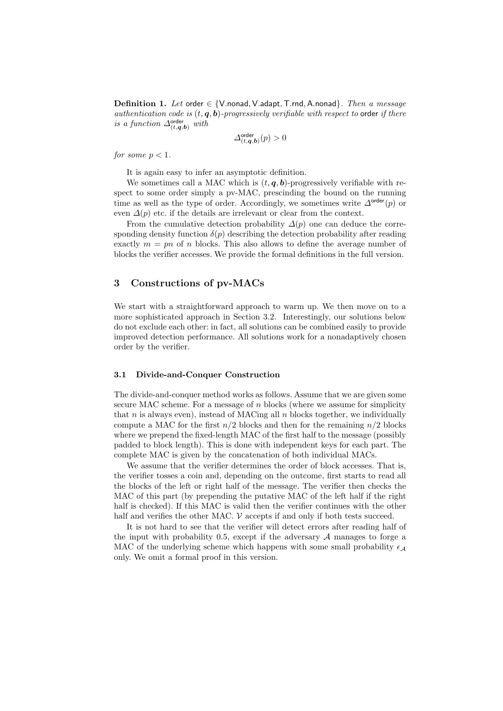**Definition 1.** Let order  $\in \{V \text{.nonad}, V \text{.adapt}, T \text{.rnd}, A \text{.nonad}\}\$ . Then a message authentication code is  $(t, q, b)$ -progressively verifiable with respect to order if there is a function  $\Delta_{(t,q,b)}^{\text{order}}$  with

$$
\Delta^{\text{order}}_{(t,\bm{q},\bm{b})}(p) > 0
$$

for some  $p < 1$ .

It is again easy to infer an asymptotic definition.

We sometimes call a MAC which is  $(t, q, b)$ -progressively verifiable with respect to some order simply a pv-MAC, prescinding the bound on the running time as well as the type of order. Accordingly, we sometimes write  $\Delta^{\text{order}}(p)$  or even  $\Delta(p)$  etc. if the details are irrelevant or clear from the context.

From the cumulative detection probability  $\Delta(p)$  one can deduce the corresponding density function  $\delta(p)$  describing the detection probability after reading exactly  $m = pn$  of n blocks. This also allows to define the average number of blocks the verifier accesses. We provide the formal definitions in the full version.

## 3 Constructions of pv-MACs

We start with a straightforward approach to warm up. We then move on to a more sophisticated approach in Section 3.2. Interestingly, our solutions below do not exclude each other: in fact, all solutions can be combined easily to provide improved detection performance. All solutions work for a nonadaptively chosen order by the verifier.

#### 3.1 Divide-and-Conquer Construction

The divide-and-conquer method works as follows. Assume that we are given some secure MAC scheme. For a message of  $n$  blocks (where we assume for simplicity that n is always even), instead of MACing all  $n$  blocks together, we individually compute a MAC for the first  $n/2$  blocks and then for the remaining  $n/2$  blocks where we prepend the fixed-length MAC of the first half to the message (possibly padded to block length). This is done with independent keys for each part. The complete MAC is given by the concatenation of both individual MACs.

We assume that the verifier determines the order of block accesses. That is, the verifier tosses a coin and, depending on the outcome, first starts to read all the blocks of the left or right half of the message. The verifier then checks the MAC of this part (by prepending the putative MAC of the left half if the right half is checked). If this MAC is valid then the verifier continues with the other half and verifies the other MAC.  $\mathcal V$  accepts if and only if both tests succeed.

It is not hard to see that the verifier will detect errors after reading half of the input with probability 0.5, except if the adversary  $A$  manages to forge a MAC of the underlying scheme which happens with some small probability  $\epsilon_A$ only. We omit a formal proof in this version.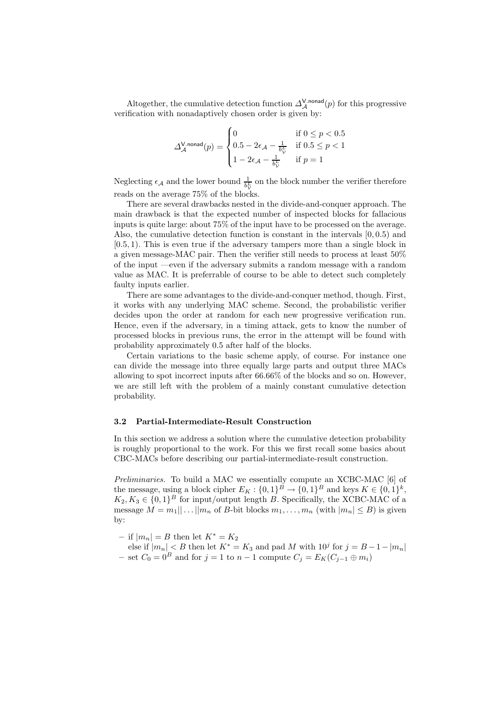Altogether, the cumulative detection function  $\Delta_{\mathcal{A}}^{\mathsf{V}.\text{nonad}}(p)$  for this progressive verification with nonadaptively chosen order is given by:

$$
\Delta_{\mathcal{A}}^{\text{V. nonad}}(p) = \begin{cases} 0 & \text{if } 0 \le p < 0.5 \\ 0.5 - 2\epsilon_{\mathcal{A}} - \frac{1}{b_{\mathcal{V}}^L} & \text{if } 0.5 \le p < 1 \\ 1 - 2\epsilon_{\mathcal{A}} - \frac{1}{b_{\mathcal{V}}^L} & \text{if } p = 1 \end{cases}
$$

Neglecting  $\epsilon_{\mathcal{A}}$  and the lower bound  $\frac{1}{b_v^L}$  on the block number the verifier therefore reads on the average 75% of the blocks.

There are several drawbacks nested in the divide-and-conquer approach. The main drawback is that the expected number of inspected blocks for fallacious inputs is quite large: about 75% of the input have to be processed on the average. Also, the cumulative detection function is constant in the intervals [0, 0.5) and [0.5, 1). This is even true if the adversary tampers more than a single block in a given message-MAC pair. Then the verifier still needs to process at least 50% of the input —even if the adversary submits a random message with a random value as MAC. It is preferrable of course to be able to detect such completely faulty inputs earlier.

There are some advantages to the divide-and-conquer method, though. First, it works with any underlying MAC scheme. Second, the probabilistic verifier decides upon the order at random for each new progressive verification run. Hence, even if the adversary, in a timing attack, gets to know the number of processed blocks in previous runs, the error in the attempt will be found with probability approximately 0.5 after half of the blocks.

Certain variations to the basic scheme apply, of course. For instance one can divide the message into three equally large parts and output three MACs allowing to spot incorrect inputs after 66.66% of the blocks and so on. However, we are still left with the problem of a mainly constant cumulative detection probability.

#### 3.2 Partial-Intermediate-Result Construction

In this section we address a solution where the cumulative detection probability is roughly proportional to the work. For this we first recall some basics about CBC-MACs before describing our partial-intermediate-result construction.

Preliminaries. To build a MAC we essentially compute an XCBC-MAC [6] of the message, using a block cipher  $E_K: \{0,1\}^B \to \{0,1\}^B$  and keys  $K \in \{0,1\}^k$ ,  $K_2, K_3 \in \{0,1\}^B$  for input/output length B. Specifically, the XCBC-MAC of a message  $M = m_1 || \dots || m_n$  of B-bit blocks  $m_1, \dots, m_n$  (with  $|m_n| \leq B$ ) is given by:

- if  $|m_n| = B$  then let  $K^* = K_2$
- else if  $|m_n| < B$  then let  $K^* = K_3$  and pad M with  $10^j$  for  $j = B 1 |m_n|$ – set  $C_0 = 0^B$  and for  $j = 1$  to  $n - 1$  compute  $C_j = E_K(C_{j-1} \oplus m_i)$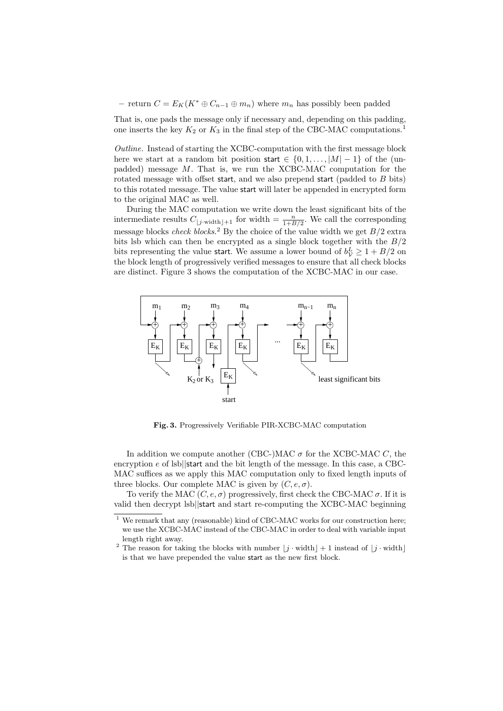– return  $C = E_K(K^* \oplus C_{n-1} \oplus m_n)$  where  $m_n$  has possibly been padded

That is, one pads the message only if necessary and, depending on this padding, one inserts the key  $K_2$  or  $K_3$  in the final step of the CBC-MAC computations.<sup>1</sup>

Outline. Instead of starting the XCBC-computation with the first message block here we start at a random bit position start  $\in \{0, 1, \ldots, |M|-1\}$  of the (unpadded) message M. That is, we run the XCBC-MAC computation for the rotated message with offset start, and we also prepend start (padded to  $B$  bits) to this rotated message. The value start will later be appended in encrypted form to the original MAC as well.

During the MAC computation we write down the least significant bits of the intermediate results  $C_{[j\text{-width}]+1}$  for width  $=\frac{n}{1+B/2}$ . We call the corresponding message blocks *check blocks*.<sup>2</sup> By the choice of the value width we get  $B/2$  extra bits lsb which can then be encrypted as a single block together with the  $B/2$ bits representing the value start. We assume a lower bound of  $b_{\mathcal{V}}^L \geq 1 + B/2$  on the block length of progressively verified messages to ensure that all check blocks are distinct. Figure 3 shows the computation of the XCBC-MAC in our case.



Fig. 3. Progressively Verifiable PIR-XCBC-MAC computation

In addition we compute another (CBC-)MAC  $\sigma$  for the XCBC-MAC C, the encryption  $e$  of lsb $\vert$ start and the bit length of the message. In this case, a CBC-MAC suffices as we apply this MAC computation only to fixed length inputs of three blocks. Our complete MAC is given by  $(C, e, \sigma)$ .

To verify the MAC  $(C, e, \sigma)$  progressively, first check the CBC-MAC  $\sigma$ . If it is valid then decrypt lsb||start and start re-computing the XCBC-MAC beginning

 $1$  We remark that any (reasonable) kind of CBC-MAC works for our construction here; we use the XCBC-MAC instead of the CBC-MAC in order to deal with variable input length right away.

<sup>&</sup>lt;sup>2</sup> The reason for taking the blocks with number  $\lfloor j \cdot \text{width} \rfloor + 1$  instead of  $\lfloor j \cdot \text{width} \rfloor$ is that we have prepended the value start as the new first block.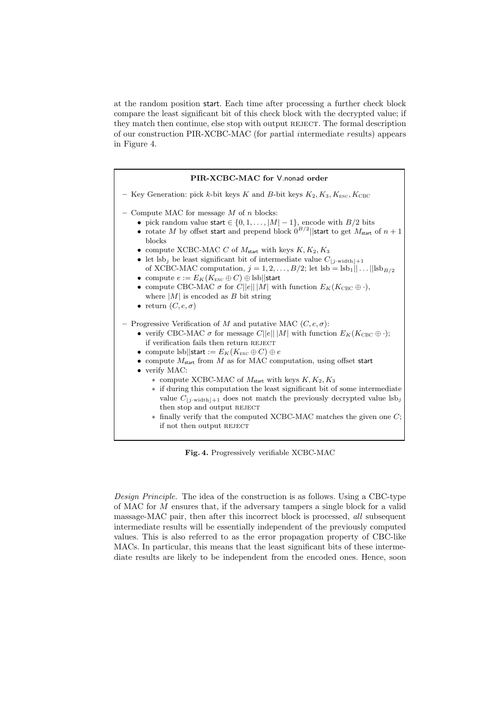at the random position start. Each time after processing a further check block compare the least significant bit of this check block with the decrypted value; if they match then continue, else stop with output REJECT. The formal description of our construction PIR-XCBC-MAC (for partial intermediate results) appears in Figure 4.

| PIR-XCBC-MAC for V.nonad order                                                                                                                                                                                                                                                                                                                                                                                                                                                                                                                                                                                                                                                                                                                                                                  |
|-------------------------------------------------------------------------------------------------------------------------------------------------------------------------------------------------------------------------------------------------------------------------------------------------------------------------------------------------------------------------------------------------------------------------------------------------------------------------------------------------------------------------------------------------------------------------------------------------------------------------------------------------------------------------------------------------------------------------------------------------------------------------------------------------|
| - Key Generation: pick k-bit keys K and B-bit keys $K_2, K_3, K_{\text{enc}}, K_{\text{CBC}}$                                                                                                                                                                                                                                                                                                                                                                                                                                                                                                                                                                                                                                                                                                   |
| Compute MAC for message $M$ of $n$ blocks:<br>• pick random value start $\in \{0, 1, ,  M -1\}$ , encode with $B/2$ bits<br>• rotate M by offset start and prepend block $0^{B/2}$   start to get $M_{\text{start}}$ of $n+1$<br>blocks<br>• compute XCBC-MAC C of $M_{\text{start}}$ with keys $K, K_2, K_3$<br>• let $\text{lsb}_j$ be least significant bit of intermediate value $C_{\text{j}}$ width $+1$<br>of XCBC-MAC computation, $j = 1, 2, , B/2$ ; let $\text{lsb} = \text{lsb}_1        \text{lsb}_{B/2}$<br>• compute $e := E_K(K_{\text{ENC}} \oplus C) \oplus \text{lsb}$   start<br>• compute CBC-MAC $\sigma$ for C  e   M  with function $E_K(K_{\text{CBC}} \oplus \cdot),$<br>where $ M $ is encoded as B bit string<br>• return $(C, e, \sigma)$                          |
| - Progressive Verification of M and putative MAC $(C, e, \sigma)$ :<br>• verify CBC-MAC $\sigma$ for message $C  e    M $ with function $E_K(K_{\text{CBC}} \oplus \cdot);$<br>if verification fails then return REJECT<br>• compute lsb  start := $E_K(K_{\text{exc}} \oplus C) \oplus e$<br>• compute $M_{\text{start}}$ from M as for MAC computation, using offset start<br>$\bullet$ verify MAC:<br>* compute XCBC-MAC of $M_{\text{start}}$ with keys $K, K_2, K_3$<br>* if during this computation the least significant bit of some intermediate<br>value $C_{j \text{-width}+1}$ does not match the previously decrypted value $\text{lsb}_j$<br>then stop and output REJECT<br>$*$ finally verify that the computed XCBC-MAC matches the given one $C$ ;<br>if not then output REJECT |

Fig. 4. Progressively verifiable XCBC-MAC

Design Principle. The idea of the construction is as follows. Using a CBC-type of MAC for M ensures that, if the adversary tampers a single block for a valid massage-MAC pair, then after this incorrect block is processed, all subsequent intermediate results will be essentially independent of the previously computed values. This is also referred to as the error propagation property of CBC-like MACs. In particular, this means that the least significant bits of these intermediate results are likely to be independent from the encoded ones. Hence, soon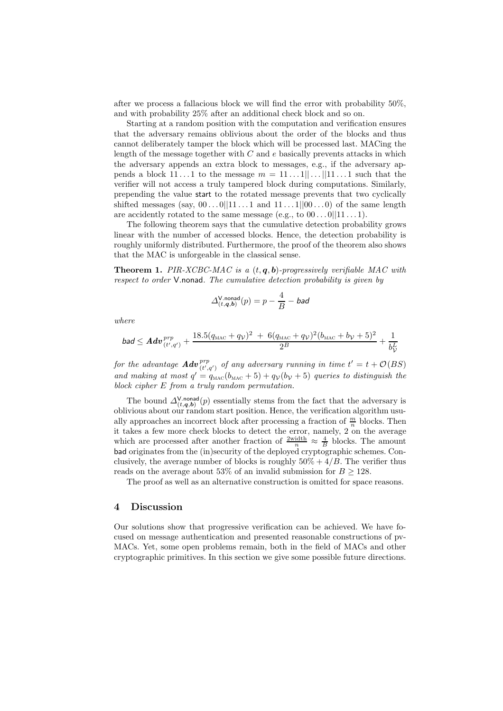after we process a fallacious block we will find the error with probability 50%, and with probability 25% after an additional check block and so on.

Starting at a random position with the computation and verification ensures that the adversary remains oblivious about the order of the blocks and thus cannot deliberately tamper the block which will be processed last. MACing the length of the message together with  $C$  and  $e$  basically prevents attacks in which the adversary appends an extra block to messages, e.g., if the adversary appends a block  $11 \dots 1$  to the message  $m = 11 \dots 1 \dots ||11 \dots 1$  such that the verifier will not access a truly tampered block during computations. Similarly, prepending the value start to the rotated message prevents that two cyclically shifted messages (say,  $00...0||11...1$  and  $11...1||00...0$ ) of the same length are accidently rotated to the same message (e.g., to  $00 \dots 0 || 11 \dots 1$ ).

The following theorem says that the cumulative detection probability grows linear with the number of accessed blocks. Hence, the detection probability is roughly uniformly distributed. Furthermore, the proof of the theorem also shows that the MAC is unforgeable in the classical sense.

**Theorem 1.** PIR-XCBC-MAC is a  $(t, q, b)$ -progressively verifiable MAC with respect to order V.nonad. The cumulative detection probability is given by

$$
\Delta_{(t,\boldsymbol{q},\boldsymbol{b})}^{\text{V.nonad}}(p) = p - \frac{4}{B} - \boldsymbol{bad}
$$

where

$$
\mathit{bad} \leq \mathit{Adv}_{(t',q')}^{prp} + \frac{18.5(q_{\text{MAC}}+q_{\mathcal{V}})^2 + 6(q_{\text{MAC}}+q_{\mathcal{V}})^2(b_{\text{MAC}}+b_{\mathcal{V}}+5)^2}{2^B} + \frac{1}{b_{\mathcal{V}}^L}
$$

for the advantage  $\pmb{Adv}^{prp}_{(t',q')}$  of any adversary running in time  $t'=t+{\cal O}(BS)$ and making at most  $q' = q_{\text{MAC}}(b_{\text{MAC}} + 5) + q_{\text{V}}(b_{\text{V}} + 5)$  queries to distinguish the block cipher E from a truly random permutation.

The bound  $\Delta_{(t,q,b)}^{\mathsf{V}.\text{nonad}}(p)$  essentially stems from the fact that the adversary is oblivious about our random start position. Hence, the verification algorithm usually approaches an incorrect block after processing a fraction of  $\frac{m}{n}$  blocks. Then it takes a few more check blocks to detect the error, namely, 2 on the average which are processed after another fraction of  $\frac{2 \text{width}}{n} \approx \frac{4}{B}$  blocks. The amount bad originates from the (in)security of the deployed cryptographic schemes. Conclusively, the average number of blocks is roughly  $50\% + 4/B$ . The verifier thus reads on the average about 53% of an invalid submission for  $B > 128$ .

The proof as well as an alternative construction is omitted for space reasons.

#### 4 Discussion

Our solutions show that progressive verification can be achieved. We have focused on message authentication and presented reasonable constructions of pv-MACs. Yet, some open problems remain, both in the field of MACs and other cryptographic primitives. In this section we give some possible future directions.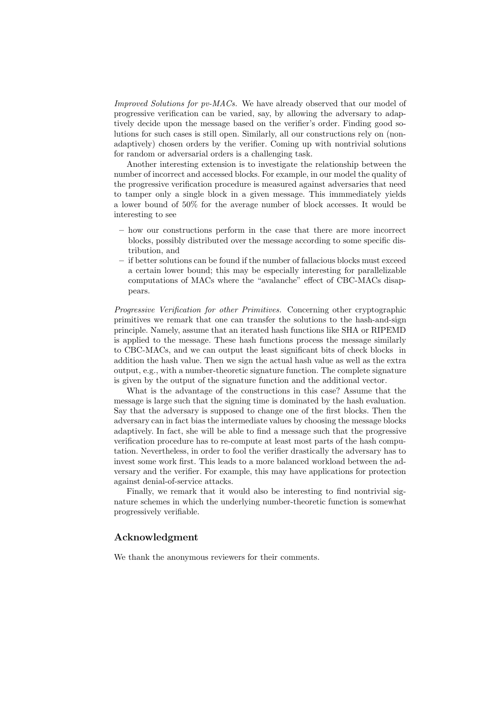Improved Solutions for pv-MACs. We have already observed that our model of progressive verification can be varied, say, by allowing the adversary to adaptively decide upon the message based on the verifier's order. Finding good solutions for such cases is still open. Similarly, all our constructions rely on (nonadaptively) chosen orders by the verifier. Coming up with nontrivial solutions for random or adversarial orders is a challenging task.

Another interesting extension is to investigate the relationship between the number of incorrect and accessed blocks. For example, in our model the quality of the progressive verification procedure is measured against adversaries that need to tamper only a single block in a given message. This immmediately yields a lower bound of 50% for the average number of block accesses. It would be interesting to see

- how our constructions perform in the case that there are more incorrect blocks, possibly distributed over the message according to some specific distribution, and
- if better solutions can be found if the number of fallacious blocks must exceed a certain lower bound; this may be especially interesting for parallelizable computations of MACs where the "avalanche" effect of CBC-MACs disappears.

Progressive Verification for other Primitives. Concerning other cryptographic primitives we remark that one can transfer the solutions to the hash-and-sign principle. Namely, assume that an iterated hash functions like SHA or RIPEMD is applied to the message. These hash functions process the message similarly to CBC-MACs, and we can output the least significant bits of check blocks in addition the hash value. Then we sign the actual hash value as well as the extra output, e.g., with a number-theoretic signature function. The complete signature is given by the output of the signature function and the additional vector.

What is the advantage of the constructions in this case? Assume that the message is large such that the signing time is dominated by the hash evaluation. Say that the adversary is supposed to change one of the first blocks. Then the adversary can in fact bias the intermediate values by choosing the message blocks adaptively. In fact, she will be able to find a message such that the progressive verification procedure has to re-compute at least most parts of the hash computation. Nevertheless, in order to fool the verifier drastically the adversary has to invest some work first. This leads to a more balanced workload between the adversary and the verifier. For example, this may have applications for protection against denial-of-service attacks.

Finally, we remark that it would also be interesting to find nontrivial signature schemes in which the underlying number-theoretic function is somewhat progressively verifiable.

# Acknowledgment

We thank the anonymous reviewers for their comments.